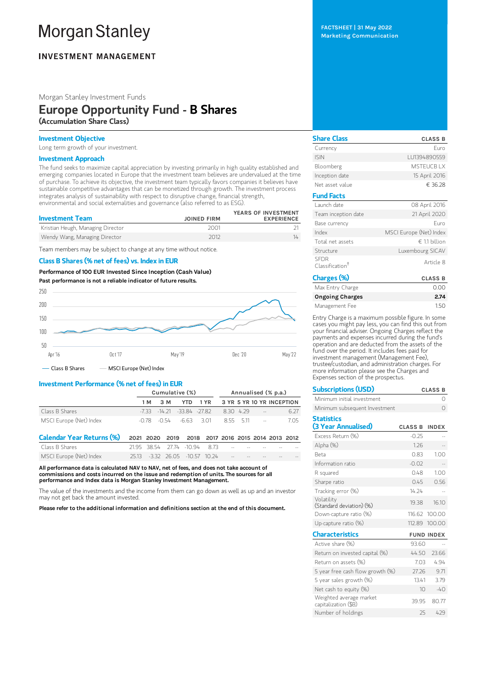# **Morgan Stanley**

# **INVESTMENT MANAGEMENT**

# Morgan Stanley Investment Funds

# Europe Opportunity Fund - B Shares (Accumulation Share Class)

## Investment Objective

Long term growth of your investment.

# Investment Approach

The fund seeks to maximize capital appreciation by investing primarily in high quality established and emerging companies located in Europe that the investment team believes are undervalued at the time of purchase. To achieve its objective, the investment team typically favors companies it believes have sustainable competitive advantages that can be monetized through growth. The investment process integrates analysis of sustainability with respect to disruptive change, financial strength, environmental and social externalities and governance (also referred to as ESG).

| <b>Investment Team</b>            | <b>JOINED FIRM</b> | YEARS OF INVESTMENT<br><b>EXPERIENCE</b> |
|-----------------------------------|--------------------|------------------------------------------|
| Kristian Heugh, Managing Director | 2001               |                                          |
| Wendy Wang, Managing Director     | 2012               | 14                                       |

Team members may be subject to change at any time without notice.

## Class B Shares (% net of fees) vs. Index in EUR

Performance of100 EUR Invested Since Inception (Cash Value) Past performance is not a reliable indicator of future results.



# Investment Performance (% net of fees) in EUR

|                         | Cumulative (%) |     |                                 |          |           |         |               | Annualised (% p.a.)       |
|-------------------------|----------------|-----|---------------------------------|----------|-----------|---------|---------------|---------------------------|
|                         | 1 M            | 3 M |                                 | YTD 1 YR |           |         |               | 3 YR 5 YR 10 YR INCEPTION |
| Class B Shares          |                |     | -7.33 -14.21 -33.84 -27.82      |          | 8.30 4.29 |         | $\sim$ $-$    | 6.27                      |
| MSCI Europe (Net) Index |                |     | $-0.78$ $-0.54$ $-6.63$ $-3.01$ |          |           | 855 511 | $\sim$ $\sim$ | 705                       |

| Calendar Year Returns (%) 2021 2020 2019 2018 2017 2016 2015 2014 2013 2012 |  |                                               |  |  |  |
|-----------------------------------------------------------------------------|--|-----------------------------------------------|--|--|--|
| Class B Shares                                                              |  | $21.95$ 38.54 $27.74$ $-10.94$ 8.73 $     -$  |  |  |  |
| MSCI Europe (Net) Index                                                     |  | 25.13 -3.32 26.05 -10.57 10.24 -- - - - - - - |  |  |  |

All performance data is calculated NAV to NAV, net of fees, and does not take account of commissions and costs incurred on the issue and redemption of units. The sources for all performance and Index data is Morgan Stanley Investment Management.

The value of the investments and the income from them can go down as well as up and an investor may not get back the amount invested.

Please refer to the additional information and definitions section at the end of this document.

FACTSHEET | 31 May 2022 Marketing Communication

| <b>Share Class</b>                         | <b>CLASS B</b>          |
|--------------------------------------------|-------------------------|
| Currency                                   | Euro                    |
| <b>ISIN</b>                                | LU1394890559            |
| Bloomberg                                  | <b>MSTFUCBIX</b>        |
| Inception date                             | 15 April 2016           |
| Net asset value                            | € 36.28                 |
| <b>Fund Facts</b>                          |                         |
| Launch date                                | 08 April 2016           |
| Team inception date                        | 21 April 2020           |
| Base currency                              | Furo                    |
| Index                                      | MSCI Europe (Net) Index |
| Total net assets                           | $∈ 11$ billion          |
| Structure                                  | Luxembourg SICAV        |
| <b>SFDR</b><br>Classification <sup>†</sup> | Article 8               |
|                                            |                         |

| Charges (%)            | <b>CLASS B</b> |
|------------------------|----------------|
| Max Entry Charge       | n nn           |
| <b>Ongoing Charges</b> | 2.74           |
| Management Fee         | 150            |

Entry Charge is a maximum possible figure. In some cases you might pay less, you can find this out from your financial adviser. Ongoing Charges reflect the payments and expenses incurred during the fund's operation and are deducted from the assets of the fund over the period. It includes fees paid for investment management (Management Fee), trustee/custodian, and administration charges. For more information please see the Charges and Expenses section of the prospectus.

| <b>Subscriptions (USD)</b>                      |                | <b>CLASS B</b>    |
|-------------------------------------------------|----------------|-------------------|
| Minimum initial investment                      |                | Ω                 |
| Minimum subsequent Investment                   |                | Ω                 |
| <b>Statistics</b>                               |                |                   |
| (3 Year Annualised)                             | <b>CLASS B</b> | <b>INDEX</b>      |
| Excess Return (%)                               | $-0.25$        |                   |
| Alpha (%)                                       | 1.26           |                   |
| <b>Reta</b>                                     | 0.83           | 100               |
| Information ratio                               | $-0.02$        |                   |
| R squared                                       | 0.48           | 1.00              |
| Sharpe ratio                                    | 0.45           | 0.56              |
| Tracking error (%)                              | 14 24          |                   |
| Volatility<br>(Standard deviation) (%)          | 19.38          | 16.10             |
| Down-capture ratio (%)                          |                | 116.62 100.00     |
| Up-capture ratio $(\%)$                         | 112.89         | 100.00            |
| <b>Characteristics</b>                          |                | <b>FUND INDEX</b> |
| Active share (%)                                | 93.60          |                   |
| Return on invested capital (%)                  | 44.50          | 23.66             |
| Return on assets (%)                            | 703            | 494               |
| 5 year free cash flow growth (%)                | 27.26          | 9.71              |
| 5 year sales growth (%)                         | 13.41          | 3.79              |
| Net cash to equity (%)                          | 10             | $-40$             |
| Weighted average market<br>capitalization (\$B) | 39.95          | 80.77             |
| Number of holdings                              | 25             | 429               |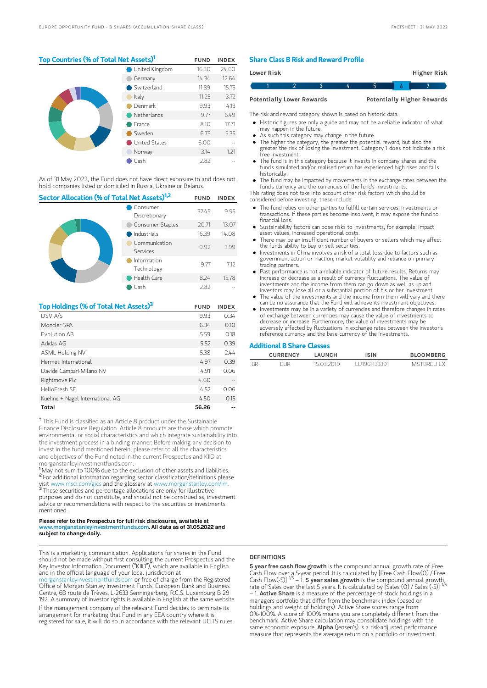# Top Countries (% of Total Net Assets)<sup>1</sup> FUND INDEX

|  | <b>United Kingdom</b> | 16.30 | 24.60 |
|--|-----------------------|-------|-------|
|  | Germany               | 14.34 | 12.64 |
|  | Switzerland           | 11.89 | 15.75 |
|  | Italy                 | 11.25 | 3.72  |
|  | Denmark               | 9.93  | 4.13  |
|  | Netherlands           | 9.77  | 6.49  |
|  | France                | 8.10  | 17.71 |
|  | Sweden                | 6.75  | 5.35  |
|  | United States         | 6.00  |       |
|  | Norway                | 3.14  | 1.21  |
|  | Cash                  | 2.82  |       |

As of 31 May 2022, the Fund does not have direct exposure to and does not hold companies listed or domiciled in Russia, Ukraine or Belarus.

| Sector Allocation (% of Total Net Assets) <sup>1,2</sup> | <b>FUND</b>               | <b>INDEX</b> |       |
|----------------------------------------------------------|---------------------------|--------------|-------|
|                                                          | Consumer<br>Discretionary | 32.45        | 9.95  |
|                                                          | Consumer Staples          | 20.71        | 13.07 |
|                                                          | Industrials               | 16.39        | 14.08 |
|                                                          | Communication<br>Services | 9.92         | 3.99  |
|                                                          | Information<br>Technology | 9.77         | 7.12  |
|                                                          | Health Care               | 8.24         | 15.78 |
|                                                          | Cash                      | 2.82         |       |

| Top Holdings (% of Total Net Assets) <sup>3</sup> | <b>FUND</b> | <b>INDEX</b> |
|---------------------------------------------------|-------------|--------------|
| DSV A/S                                           | 9.93        | 0.34         |
| Moncler SPA                                       | 6.34        | 0.10         |
| Fvolution AB                                      | 5.59        | 0.18         |
| Adidas AG                                         | 5.52        | 0.39         |
| ASML Holding NV                                   | 5.38        | 7.44         |
| Hermes International                              | 4.97        | 0.39         |
| Davide Campari-Milano NV                          | 4.91        | 0.06         |
| Rightmove Plc                                     | 4.60        |              |
| HelloFresh SF                                     | 4.52        | 0.06         |
| Kuehne + Nagel International AG                   | 4.50        | 0.15         |
| Total                                             | 56.26       |              |

<sup>†</sup> This Fund is classified as an Article 8 product under the Sustainable Finance Disclosure Regulation. Article 8 products are those which promote environmental or social characteristics and which integrate sustainability into the investment process in a binding manner. Before making any decision to invest in the fund mentioned herein, please refer to all the characteristics and objectives of the Fund noted in the current Prospectus and KIID at morganstanleyinvestmentfunds.com.

<sup>1</sup>May not sum to 100% due to the exclusion of other assets and liabilities. <sup>2</sup> For additional information regarding sector classification/definitions please visit www.msci.com/gics and the glossary at www.morganstanley.com/im. <sup>3</sup> These securities and percentage allocations are only for illustrative purposes and do not constitute, and should not be construed as, investment advice or recommendations with respect to the securities or investments mentioned.

#### Please refer to the Prospectus for full risk disclosures, available at www.morganstanleyinvestmentfunds.com. All data as of 31.05.2022 and subject to change daily.

This is a marketing communication. Applications for shares in the Fund should not be made without first consulting the current Prospectus and the Key Investor Information Document ("KIID"), which are available in English and in the official language of your local jurisdiction at

[morganstanleyinvestmentfunds.com](https://www.morganstanley.com/im/msinvf/index.html) or free of charge from the Registered Office of Morgan Stanley Investment Funds, European Bank and Business Centre, 6B route de Trèves, L-2633 Senningerberg, R.C.S. Luxemburg B 29 192. A summary of investor rights is available in English at the same website. If the management company of the relevant Fund decides to terminate its arrangement for marketing that Fund in any EEA country where it is registered for sale, it will do so in accordance with the relevant UCITS rules.

## Share Class B Risk and Reward Profile

| Lower Risk |                                  |  |  | Higher Risk                       |  |
|------------|----------------------------------|--|--|-----------------------------------|--|
|            |                                  |  |  |                                   |  |
|            | <b>Potentially Lower Rewards</b> |  |  | <b>Potentially Higher Rewards</b> |  |

The risk and reward category shown is based on historic data.

- Historic figures are only a guide and may not be a reliable indicator of what may happen in the future.
- As such this category may change in the future.
- The higher the category, the greater the potential reward, but also the greater the risk of losing the investment. Category 1 does not indicate a risk free investment.
- The fund is in this category because it invests in company shares and the fund's simulated and/or realised return has experienced high rises and falls historically.
- The fund may be impacted by movements in the exchange rates between the fund's currency and the currencies of the fund's investments.

This rating does not take into account other risk factors which should be considered before investing, these include:

- The fund relies on other parties to fulfill certain services, investments or transactions. If these parties become insolvent, it may expose the fund to financial loss.
- Sustainability factors can pose risks to investments, for example: impact asset values, increased operational costs.
- There may be an insufficient number of buyers or sellers which may affect the funds ability to buy or sell securities.
- Investments in China involves a risk of a total loss due to factors such as government action or inaction, market volatility and reliance on primary trading partners.
- Past performance is not a reliable indicator of future results. Returns may increase or decrease as a result of currency fluctuations. The value of investments and the income from them can go down as well as up and investors may lose all or a substantial portion of his or her investment.
- The value of the investments and the income from them will vary and there can be no assurance that the Fund will achieve its investment objectives.
- Investments may be in a variety of currencies and therefore changes in rates of exchange between currencies may cause the value of investments to decrease or increase. Furthermore, the value of investments may be adversely affected by fluctuations in exchange rates between the investor's reference currency and the base currency of the investments.

#### Additional B Share Classes

|           | <b>CURRENCY</b> | LAUNCH     | <b>ISIN</b>  | <b>BLOOMBERG</b> |
|-----------|-----------------|------------|--------------|------------------|
| <b>BR</b> | FI IR           | 15 03 2019 | 111961133391 | <b>MSTRREULX</b> |

#### **DEFINITIONS**

5 year free cash flow growth is the compound annual growth rate of Free Cash Flow over a 5-year period. It is calculated by [Free Cash Flow(0) / Free<br>Cash Flow(-5)] <sup>1/5</sup> – 1. **5 year saIes growth** is the compound annual growth\_ rate of Sales over the last 5 years. It is calculated by [Sales (0) / Sales (-5)]<br>– 1. **Active Share** is a measure of the percentage of stock holdings in a managers portfolio that differ from the benchmark index (based on holdings and weight of holdings). Active Share scores range from 0%-100%. A score of 100% means you are completely different from the benchmark. Active Share calculation may consolidate holdings with the<br>same economic exposure. **AIpha** (Jensen's) is a risk-adjusted performance measure that represents the average return on a portfolio or investment 1/5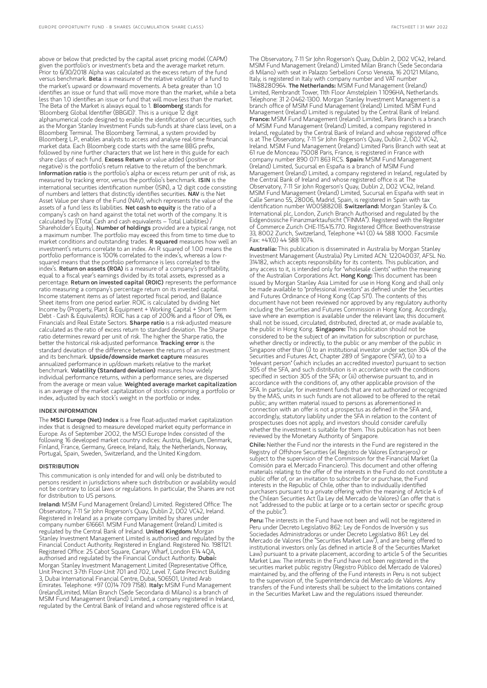above or below that predicted by the capital asset pricing model (CAPM) given the portfolio's or investment's beta and the average market return. Prior to 6/30/2018 Alpha was calculated as the excess return of the fund versus benchmark. Beta is a measure of the relative volatility of a fund to the market's upward or downward movements. A beta greater than 1.0 identifies an issue or fund that will move more than the market, while a beta less than 1.0 identifies an issue or fund that will move less than the market. The Beta of the Market is always equal to 1. Bloomberg stands for 'Bloomberg Global Identifier (BBGID)'. This is a unique 12 digit alphanumerical code designed to enable the identification of securities, such as the Morgan Stanley Investment Funds sub-funds at share class level, on a Bloomberg Terminal. The Bloomberg Terminal, a system provided by Bloomberg L.P., enables analysts to access and analyse real-time financial market data. Each Bloomberg code starts with the same BBG prefix, followed by nine further characters that we list here in this guide for each share class of each fund. Excess Return or value added (positive or negative) is the portfolio's return relative to the return of the benchmark. Information ratio is the portfolio's alpha or excess return per unit of risk, as measured by tracking error, versus the portfolio's benchmark. ISIN is the international securities identification number (ISIN), a 12 digit code consisting of numbers and letters that distinctly identifies securities. NAV is the Net Asset Value per share of the Fund (NAV), which represents the value of the assets of a fund less its liabilities. Net cash to equity is the ratio of a company's cash on hand against the total net worth of the company. It is calculated by [(Total Cash and cash equivalents – Total Liabilities) / Shareholder's Equity]. Number of holdings provided are a typical range, not a maximum number. The portfolio may exceed this from time to time due to market conditions and outstanding trades. R squared measures how well an investment's returns correlate to an index. An R squared of 1.00 means the portfolio performance is 100% correlated to the index's, whereas a low rsquared means that the portfolio performance is less correlated to the index's. Return on assets (ROA) is a measure of a company's profitability, equal to a fiscal year's earnings divided by its total assets, expressed as a percentage. Return on invested capital (ROIC) represents the performance ratio measuring a company's percentage return on its invested capital. Income statement items as of latest reported fiscal period, and Balance Sheet items from one period earlier. ROIC is calculated by dividing Net Income by (Property, Plant & Equipment + Working Capital + Short Term Debt - Cash & Equivalents). ROIC has a cap of 200% and a floor of 0%, ex Financials and Real Estate Sectors. Sharpe ratio is a risk-adjusted measure calculated as the ratio of excess return to standard deviation. The Sharpe ratio determines reward per unit of risk. The higher the Sharpe ratio, the better the historical risk-adjusted performance. Tracking error is the standard deviation of the difference between the returns of an investment and its benchmark. Upside/downside market capture measures annualized performance in up/down markets relative to the market benchmark. Volatility (Standard deviation) measures how widely individual performance returns, within a performance series, are dispersed from the average or mean value. Weighted average market capitalization is an average of the market capitalization of stocks comprising a portfolio or index, adjusted by each stock's weight in the portfolio or index

#### INDEX INFORMATION

The MSCI Europe (Net) Index is a free float-adjusted market capitalization index that is designed to measure developed market equity performance in Europe. As of September 2002, the MSCI Europe Index consisted of the following 16 developed market country indices: Austria, Belgium, Denmark, Finland, France, Germany, Greece, Ireland, Italy, the Netherlands, Norway, Portugal, Spain, Sweden, Switzerland, and the United Kingdom.

#### **DISTRIBUTION**

This communication is only intended for and will only be distributed to persons resident in jurisdictions where such distribution or availability would not be contrary to local laws or regulations. In particular, the Shares are not for distribution to US persons.

Ireland: MSIM Fund Management (Ireland) Limited. Registered Office: The Observatory, 7-11 Sir John Rogerson's Quay, Dublin 2, D02 VC42, Ireland. Registered in Ireland as a private company limited by shares under company number 616661. MSIM Fund Management (Ireland) Limited is regulated by the Central Bank of Ireland. United Kingdom: Morgan Stanley Investment Management Limited is authorised and regulated by the Financial Conduct Authority. Registered in England. Registered No. 1981121. Registered Office: 25 Cabot Square, Canary Wharf, London E14 4QA, authorised and regulated by the Financial Conduct Authority. Dubai: Morgan Stanley Investment Management Limited (Representative Office, Unit Precinct 3-7th Floor-Unit 701 and 702, Level 7, Gate Precinct Building 3, Dubai International Financial Centre, Dubai, 506501, United Arab<br>Emirates. Telephone: +97 (0)14 709 7158). **Italy:** MSIM Fund Management (Ireland)Limited, Milan Branch (Sede Secondaria di Milano) is a branch of MSIM Fund Management (Ireland) Limited, a company registered in Ireland, regulated by the Central Bank of Ireland and whose registered office is at

The Observatory, 7-11 Sir John Rogerson's Quay, Dublin 2, D02 VC42, Ireland. MSIM Fund Management (Ireland) Limited Milan Branch (Sede Secondaria di Milano) with seat in Palazzo Serbelloni Corso Venezia, 16 20121 Milano, Italy, is registered in Italy with company number and VAT number<br>11488280964. **The Netherlands:** MSIM Fund Management (Ireland) Limited, Rembrandt Tower, 11th Floor Amstelplein 1 1096HA, Netherlands. Telephone: 31 2-0462-1300. Morgan Stanley Investment Management is a branch office of MSIM Fund Management (Ireland) Limited. MSIM Fund Management (Ireland) Limited is regulated by the Central Bank of Ireland. France: MSIM Fund Management (Ireland) Limited, Paris Branch is a branch of MSIM Fund Management (Ireland) Limited, a company registered in Ireland, regulated by the Central Bank of Ireland and whose registered office is at The Observatory, 7-11 Sir John Rogerson's Quay, Dublin 2, DO2 VC42, Ireland. MSIM Fund Management (Ireland) Limited Paris Branch with seat at 61 rue de Monceau 75008 Paris, France, is registered in France with company number 890 071 863 RCS. Spain: MSIM Fund Management (Ireland) Limited, Sucursal en España is a branch of MSIM Fund Management (Ireland) Limited, a company registered in Ireland, regulated by the Central Bank of Ireland and whose registered office is at The Observatory, 7-11 Sir John Rogerson's Quay, Dublin 2, D02 VC42, Ireland. MSIM Fund Management (Ireland) Limited, Sucursal en España with seat in Calle Serrano 55, 28006, Madrid, Spain, is registered in Spain with tax identification number W0058820B. Switzerland: Morgan Stanley & Co. International plc, London, Zurich Branch Authorised and regulated by the Eidgenössische Finanzmarktaufsicht ("FINMA"). Registered with the Register of Commerce Zurich CHE-115.415.770. Registered Office: Beethovenstrasse 33, 8002 Zurich, Switzerland, Telephone +41 (0) 44 588 1000. Facsimile Fax: +41(0) 44 588 1074.

Australia: This publication is disseminated in Australia by Morgan Stanley Investment Management (Australia) Pty Limited ACN: 122040037, AFSL No. 314182, which accepts responsibility for its contents. This publication, and any access to it, is intended only for "wholesale clients" within the meaning of the Australian Corporations Act. **Hong Kong:** This document has been issued by Morgan Stanley Asia Limited for use in Hong Kong and shall only be made available to "professional investors" as defined under the Securities and Futures Ordinance of Hong Kong (Cap 571). The contents of this document have not been reviewed nor approved by any regulatory authority including the Securities and Futures Commission in Hong Kong. Accordingly, save where an exemption is available under the relevant law, this document shall not be issued, circulated, distributed, directed at, or made available to, the public in Hong Kong. Singapore: This publication should not be considered to be the subject of an invitation for subscription or purchase, whether directly or indirectly, to the public or any member of the public Singapore other than (i) to an institutional investor under section 304 of the Securities and Futures Act, Chapter 289 of Singapore ("SFA"), (ii) to a "relevant person" (which includes an accredited investor) pursuant to section 305 of the SFA, and such distribution is in accordance with the conditions specified in section 305 of the SFA; or (iii) otherwise pursuant to, and in accordance with the conditions of, any other applicable provision of the SFA. In particular, for investment funds that are not authorized or recognized by the MAS, units in such funds are not allowed to be offered to the retail public; any written material issued to persons as aforementioned in connection with an offer is not a prospectus as defined in the SFA and, accordingly, statutory liability under the SFA in relation to the content of prospectuses does not apply, and investors should consider carefully whether the investment is suitable for them. This publication has not been reviewed by the Monetary Authority of Singapore.

Chile: Neither the Fund nor the interests in the Fund are registered in the Registry of Offshore Securities (el Registro de Valores Extranjeros) or subject to the supervision of the Commission for the Financial Market (la Comisión para el Mercado Financiero). This document and other offering materials relating to the offer of the interests in the Fund do not constitute a public offer of, or an invitation to subscribe for or purchase, the Fund interests in the Republic of Chile, other than to individually identified purchasers pursuant to a private offering within the meaning of Article 4 of the Chilean Securities Act (la Ley del Mercado de Valores) (an offer that is not "addressed to the public at large or to a certain sector or specific group of the public").

Peru: The interests in the Fund have not been and will not be registered in Peru under Decreto Legislativo 862: Ley de Fondos de Inversión y sus Sociedades Administradoras or under Decreto Legislativo 861: Ley del Mercado de Valores (the "Securities Market Law"), and are being offered to institutional investors only (as defined in article 8 of the Securities Market Law) pursuant to a private placement, according to article 5 of the Securities Market Law. The interests in the Fund have not been registered in the securities market public registry (Registro Público del Mercado de Valores) maintained by, and the offering of the Fund interests in Peru is not subject to the supervision of, the Superintendencia del Mercado de Valores. Any transfers of the Fund interests shall be subject to the limitations contained in the Securities Market Law and the regulations issued thereunder.